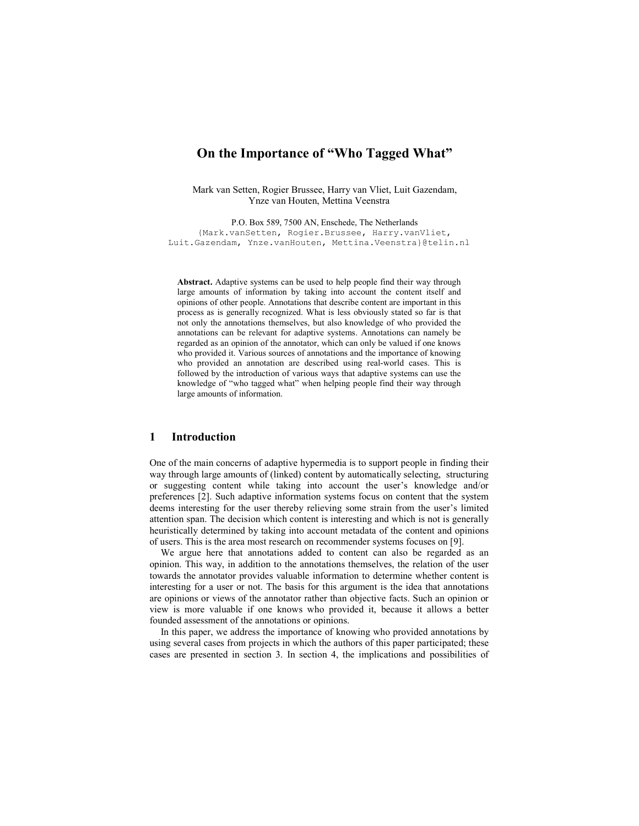# On the Importance of "Who Tagged What"

Mark van Setten, Rogier Brussee, Harry van Vliet, Luit Gazendam, Ynze van Houten, Mettina Veenstra

P.O. Box 589, 7500 AN, Enschede, The Netherlands {Mark.vanSetten, Rogier.Brussee, Harry.vanVliet, Luit.Gazendam, Ynze.vanHouten, Mettina.Veenstra}@telin.nl

Abstract. Adaptive systems can be used to help people find their way through large amounts of information by taking into account the content itself and opinions of other people. Annotations that describe content are important in this process as is generally recognized. What is less obviously stated so far is that not only the annotations themselves, but also knowledge of who provided the annotations can be relevant for adaptive systems. Annotations can namely be regarded as an opinion of the annotator, which can only be valued if one knows who provided it. Various sources of annotations and the importance of knowing who provided an annotation are described using real-world cases. This is followed by the introduction of various ways that adaptive systems can use the knowledge of "who tagged what" when helping people find their way through large amounts of information.

# 1 Introduction

One of the main concerns of adaptive hypermedia is to support people in finding their way through large amounts of (linked) content by automatically selecting, structuring or suggesting content while taking into account the user's knowledge and/or preferences [2]. Such adaptive information systems focus on content that the system deems interesting for the user thereby relieving some strain from the user's limited attention span. The decision which content is interesting and which is not is generally heuristically determined by taking into account metadata of the content and opinions of users. This is the area most research on recommender systems focuses on [9].

We argue here that annotations added to content can also be regarded as an opinion. This way, in addition to the annotations themselves, the relation of the user towards the annotator provides valuable information to determine whether content is interesting for a user or not. The basis for this argument is the idea that annotations are opinions or views of the annotator rather than objective facts. Such an opinion or view is more valuable if one knows who provided it, because it allows a better founded assessment of the annotations or opinions.

In this paper, we address the importance of knowing who provided annotations by using several cases from projects in which the authors of this paper participated; these cases are presented in section 3. In section 4, the implications and possibilities of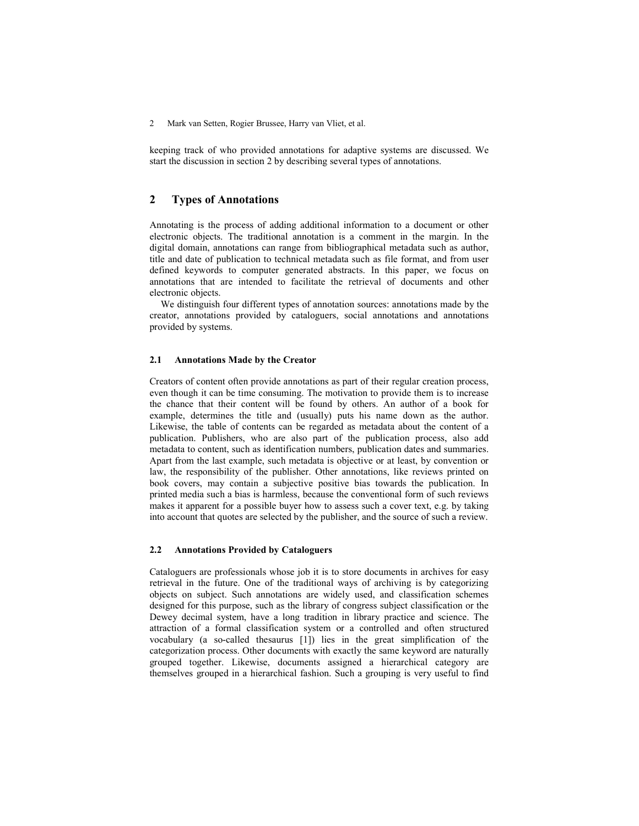keeping track of who provided annotations for adaptive systems are discussed. We start the discussion in section 2 by describing several types of annotations.

## 2 Types of Annotations

Annotating is the process of adding additional information to a document or other electronic objects. The traditional annotation is a comment in the margin. In the digital domain, annotations can range from bibliographical metadata such as author, title and date of publication to technical metadata such as file format, and from user defined keywords to computer generated abstracts. In this paper, we focus on annotations that are intended to facilitate the retrieval of documents and other electronic objects.

We distinguish four different types of annotation sources: annotations made by the creator, annotations provided by cataloguers, social annotations and annotations provided by systems.

### 2.1 Annotations Made by the Creator

Creators of content often provide annotations as part of their regular creation process, even though it can be time consuming. The motivation to provide them is to increase the chance that their content will be found by others. An author of a book for example, determines the title and (usually) puts his name down as the author. Likewise, the table of contents can be regarded as metadata about the content of a publication. Publishers, who are also part of the publication process, also add metadata to content, such as identification numbers, publication dates and summaries. Apart from the last example, such metadata is objective or at least, by convention or law, the responsibility of the publisher. Other annotations, like reviews printed on book covers, may contain a subjective positive bias towards the publication. In printed media such a bias is harmless, because the conventional form of such reviews makes it apparent for a possible buyer how to assess such a cover text, e.g. by taking into account that quotes are selected by the publisher, and the source of such a review.

## 2.2 Annotations Provided by Cataloguers

Cataloguers are professionals whose job it is to store documents in archives for easy retrieval in the future. One of the traditional ways of archiving is by categorizing objects on subject. Such annotations are widely used, and classification schemes designed for this purpose, such as the library of congress subject classification or the Dewey decimal system, have a long tradition in library practice and science. The attraction of a formal classification system or a controlled and often structured vocabulary (a so-called thesaurus [1]) lies in the great simplification of the categorization process. Other documents with exactly the same keyword are naturally grouped together. Likewise, documents assigned a hierarchical category are themselves grouped in a hierarchical fashion. Such a grouping is very useful to find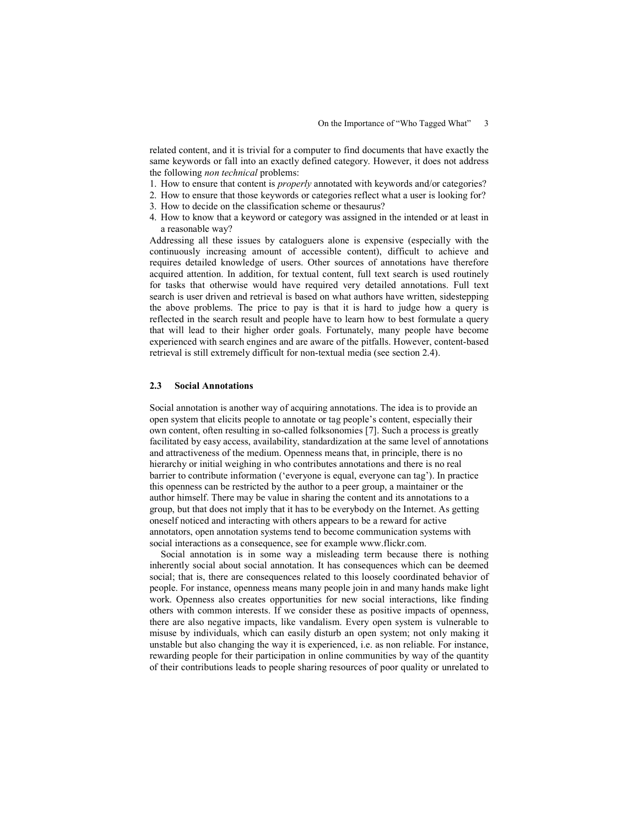related content, and it is trivial for a computer to find documents that have exactly the same keywords or fall into an exactly defined category. However, it does not address the following non technical problems:

- 1. How to ensure that content is properly annotated with keywords and/or categories?
- 2. How to ensure that those keywords or categories reflect what a user is looking for?
- 3. How to decide on the classification scheme or thesaurus?
- 4. How to know that a keyword or category was assigned in the intended or at least in a reasonable way?

Addressing all these issues by cataloguers alone is expensive (especially with the continuously increasing amount of accessible content), difficult to achieve and requires detailed knowledge of users. Other sources of annotations have therefore acquired attention. In addition, for textual content, full text search is used routinely for tasks that otherwise would have required very detailed annotations. Full text search is user driven and retrieval is based on what authors have written, sidestepping the above problems. The price to pay is that it is hard to judge how a query is reflected in the search result and people have to learn how to best formulate a query that will lead to their higher order goals. Fortunately, many people have become experienced with search engines and are aware of the pitfalls. However, content-based retrieval is still extremely difficult for non-textual media (see section 2.4).

### 2.3 Social Annotations

Social annotation is another way of acquiring annotations. The idea is to provide an open system that elicits people to annotate or tag people's content, especially their own content, often resulting in so-called folksonomies [7]. Such a process is greatly facilitated by easy access, availability, standardization at the same level of annotations and attractiveness of the medium. Openness means that, in principle, there is no hierarchy or initial weighing in who contributes annotations and there is no real barrier to contribute information ('everyone is equal, everyone can tag'). In practice this openness can be restricted by the author to a peer group, a maintainer or the author himself. There may be value in sharing the content and its annotations to a group, but that does not imply that it has to be everybody on the Internet. As getting oneself noticed and interacting with others appears to be a reward for active annotators, open annotation systems tend to become communication systems with social interactions as a consequence, see for example www.flickr.com.

Social annotation is in some way a misleading term because there is nothing inherently social about social annotation. It has consequences which can be deemed social; that is, there are consequences related to this loosely coordinated behavior of people. For instance, openness means many people join in and many hands make light work. Openness also creates opportunities for new social interactions, like finding others with common interests. If we consider these as positive impacts of openness, there are also negative impacts, like vandalism. Every open system is vulnerable to misuse by individuals, which can easily disturb an open system; not only making it unstable but also changing the way it is experienced, i.e. as non reliable. For instance, rewarding people for their participation in online communities by way of the quantity of their contributions leads to people sharing resources of poor quality or unrelated to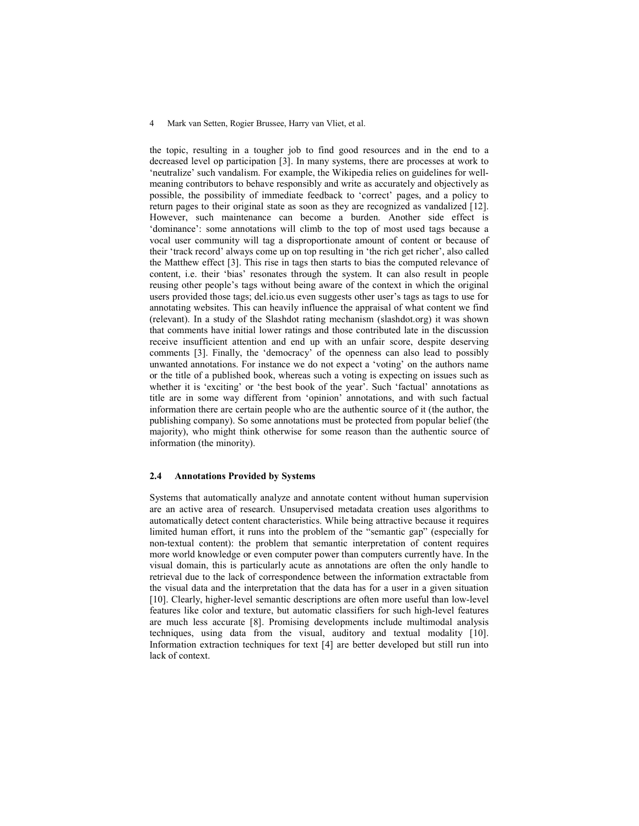the topic, resulting in a tougher job to find good resources and in the end to a decreased level op participation [3]. In many systems, there are processes at work to 'neutralize' such vandalism. For example, the Wikipedia relies on guidelines for wellmeaning contributors to behave responsibly and write as accurately and objectively as possible, the possibility of immediate feedback to 'correct' pages, and a policy to return pages to their original state as soon as they are recognized as vandalized [12]. However, such maintenance can become a burden. Another side effect is 'dominance': some annotations will climb to the top of most used tags because a vocal user community will tag a disproportionate amount of content or because of their 'track record' always come up on top resulting in 'the rich get richer', also called the Matthew effect [3]. This rise in tags then starts to bias the computed relevance of content, i.e. their 'bias' resonates through the system. It can also result in people reusing other people's tags without being aware of the context in which the original users provided those tags; del.icio.us even suggests other user's tags as tags to use for annotating websites. This can heavily influence the appraisal of what content we find (relevant). In a study of the Slashdot rating mechanism (slashdot.org) it was shown that comments have initial lower ratings and those contributed late in the discussion receive insufficient attention and end up with an unfair score, despite deserving comments [3]. Finally, the 'democracy' of the openness can also lead to possibly unwanted annotations. For instance we do not expect a 'voting' on the authors name or the title of a published book, whereas such a voting is expecting on issues such as whether it is 'exciting' or 'the best book of the year'. Such 'factual' annotations as title are in some way different from 'opinion' annotations, and with such factual information there are certain people who are the authentic source of it (the author, the publishing company). So some annotations must be protected from popular belief (the majority), who might think otherwise for some reason than the authentic source of information (the minority).

### 2.4 Annotations Provided by Systems

Systems that automatically analyze and annotate content without human supervision are an active area of research. Unsupervised metadata creation uses algorithms to automatically detect content characteristics. While being attractive because it requires limited human effort, it runs into the problem of the "semantic gap" (especially for non-textual content): the problem that semantic interpretation of content requires more world knowledge or even computer power than computers currently have. In the visual domain, this is particularly acute as annotations are often the only handle to retrieval due to the lack of correspondence between the information extractable from the visual data and the interpretation that the data has for a user in a given situation [10]. Clearly, higher-level semantic descriptions are often more useful than low-level features like color and texture, but automatic classifiers for such high-level features are much less accurate [8]. Promising developments include multimodal analysis techniques, using data from the visual, auditory and textual modality [10]. Information extraction techniques for text [4] are better developed but still run into lack of context.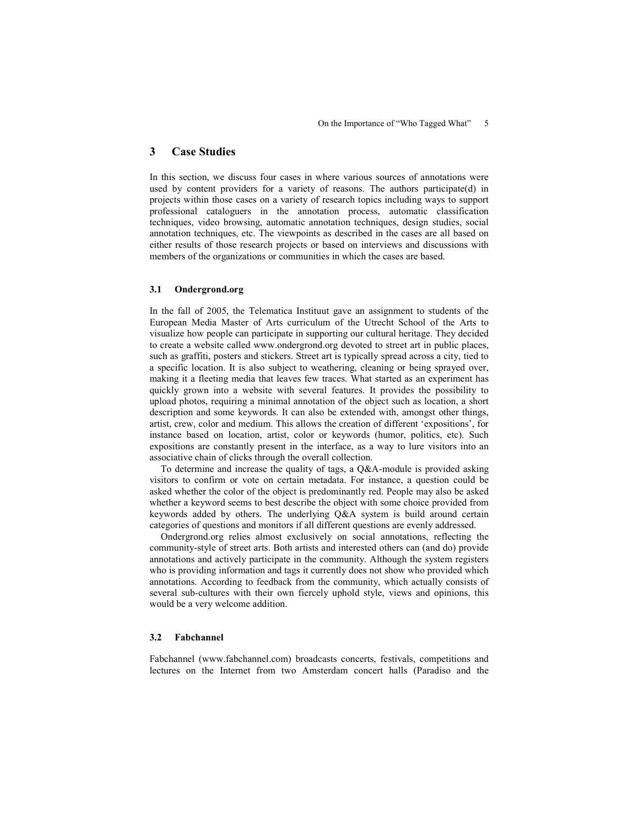# 3 Case Studies

In this section, we discuss four cases in where various sources of annotations were used by content providers for a variety of reasons. The authors participate(d) in projects within those cases on a variety of research topics including ways to support professional cataloguers in the annotation process, automatic classification techniques, video browsing, automatic annotation techniques, design studies, social annotation techniques, etc. The viewpoints as described in the cases are all based on either results of those research projects or based on interviews and discussions with members of the organizations or communities in which the cases are based.

### 3.1 Ondergrond.org

In the fall of 2005, the Telematica Instituut gave an assignment to students of the European Media Master of Arts curriculum of the Utrecht School of the Arts to visualize how people can participate in supporting our cultural heritage. They decided to create a website called www.ondergrond.org devoted to street art in public places, such as graffiti, posters and stickers. Street art is typically spread across a city, tied to a specific location. It is also subject to weathering, cleaning or being sprayed over, making it a fleeting media that leaves few traces. What started as an experiment has quickly grown into a website with several features. It provides the possibility to upload photos, requiring a minimal annotation of the object such as location, a short description and some keywords. It can also be extended with, amongst other things, artist, crew, color and medium. This allows the creation of different 'expositions', for instance based on location, artist, color or keywords (humor, politics, etc). Such expositions are constantly present in the interface, as a way to lure visitors into an associative chain of clicks through the overall collection.

To determine and increase the quality of tags, a Q&A-module is provided asking visitors to confirm or vote on certain metadata. For instance, a question could be asked whether the color of the object is predominantly red. People may also be asked whether a keyword seems to best describe the object with some choice provided from keywords added by others. The underlying Q&A system is build around certain categories of questions and monitors if all different questions are evenly addressed.

Ondergrond.org relies almost exclusively on social annotations, reflecting the community-style of street arts. Both artists and interested others can (and do) provide annotations and actively participate in the community. Although the system registers who is providing information and tags it currently does not show who provided which annotations. According to feedback from the community, which actually consists of several sub-cultures with their own fiercely uphold style, views and opinions, this would be a very welcome addition.

### 3.2 Fabchannel

Fabchannel (www.fabchannel.com) broadcasts concerts, festivals, competitions and lectures on the Internet from two Amsterdam concert halls (Paradiso and the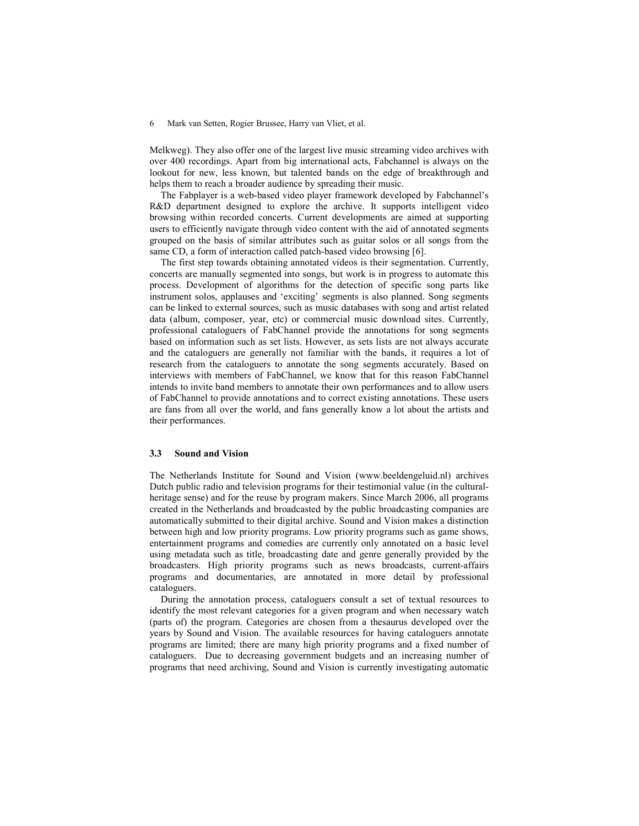Melkweg). They also offer one of the largest live music streaming video archives with over 400 recordings. Apart from big international acts, Fabchannel is always on the lookout for new, less known, but talented bands on the edge of breakthrough and helps them to reach a broader audience by spreading their music.

The Fabplayer is a web-based video player framework developed by Fabchannel's R&D department designed to explore the archive. It supports intelligent video browsing within recorded concerts. Current developments are aimed at supporting users to efficiently navigate through video content with the aid of annotated segments grouped on the basis of similar attributes such as guitar solos or all songs from the same CD, a form of interaction called patch-based video browsing [6].

The first step towards obtaining annotated videos is their segmentation. Currently, concerts are manually segmented into songs, but work is in progress to automate this process. Development of algorithms for the detection of specific song parts like instrument solos, applauses and 'exciting' segments is also planned. Song segments can be linked to external sources, such as music databases with song and artist related data (album, composer, year, etc) or commercial music download sites. Currently, professional cataloguers of FabChannel provide the annotations for song segments based on information such as set lists. However, as sets lists are not always accurate and the cataloguers are generally not familiar with the bands, it requires a lot of research from the cataloguers to annotate the song segments accurately. Based on interviews with members of FabChannel, we know that for this reason FabChannel intends to invite band members to annotate their own performances and to allow users of FabChannel to provide annotations and to correct existing annotations. These users are fans from all over the world, and fans generally know a lot about the artists and their performances.

#### 3.3 Sound and Vision

The Netherlands Institute for Sound and Vision (www.beeldengeluid.nl) archives Dutch public radio and television programs for their testimonial value (in the culturalheritage sense) and for the reuse by program makers. Since March 2006, all programs created in the Netherlands and broadcasted by the public broadcasting companies are automatically submitted to their digital archive. Sound and Vision makes a distinction between high and low priority programs. Low priority programs such as game shows, entertainment programs and comedies are currently only annotated on a basic level using metadata such as title, broadcasting date and genre generally provided by the broadcasters. High priority programs such as news broadcasts, current-affairs programs and documentaries, are annotated in more detail by professional cataloguers.

During the annotation process, cataloguers consult a set of textual resources to identify the most relevant categories for a given program and when necessary watch (parts of) the program. Categories are chosen from a thesaurus developed over the years by Sound and Vision. The available resources for having cataloguers annotate programs are limited; there are many high priority programs and a fixed number of cataloguers. Due to decreasing government budgets and an increasing number of programs that need archiving, Sound and Vision is currently investigating automatic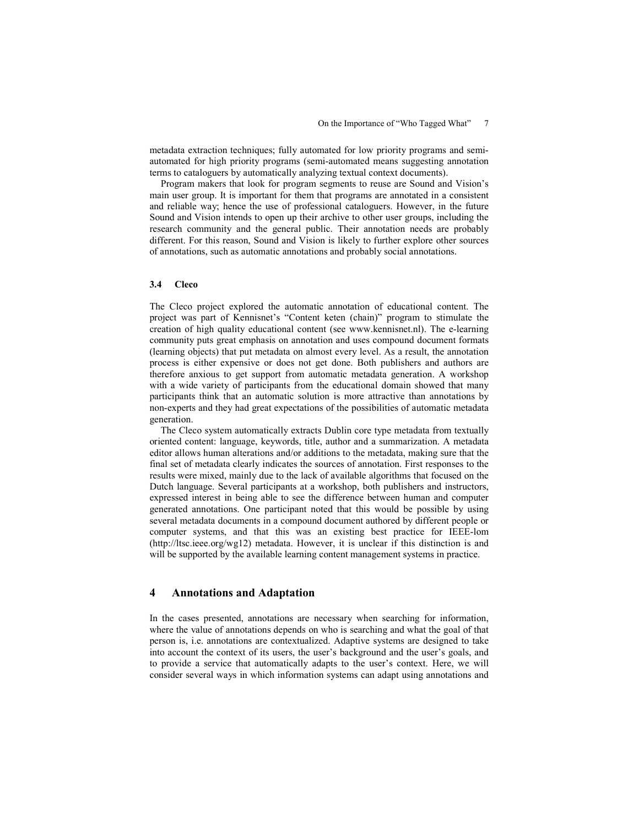metadata extraction techniques; fully automated for low priority programs and semiautomated for high priority programs (semi-automated means suggesting annotation terms to cataloguers by automatically analyzing textual context documents).

Program makers that look for program segments to reuse are Sound and Vision's main user group. It is important for them that programs are annotated in a consistent and reliable way; hence the use of professional cataloguers. However, in the future Sound and Vision intends to open up their archive to other user groups, including the research community and the general public. Their annotation needs are probably different. For this reason, Sound and Vision is likely to further explore other sources of annotations, such as automatic annotations and probably social annotations.

### 3.4 Cleco

The Cleco project explored the automatic annotation of educational content. The project was part of Kennisnet's "Content keten (chain)" program to stimulate the creation of high quality educational content (see www.kennisnet.nl). The e-learning community puts great emphasis on annotation and uses compound document formats (learning objects) that put metadata on almost every level. As a result, the annotation process is either expensive or does not get done. Both publishers and authors are therefore anxious to get support from automatic metadata generation. A workshop with a wide variety of participants from the educational domain showed that many participants think that an automatic solution is more attractive than annotations by non-experts and they had great expectations of the possibilities of automatic metadata generation.

The Cleco system automatically extracts Dublin core type metadata from textually oriented content: language, keywords, title, author and a summarization. A metadata editor allows human alterations and/or additions to the metadata, making sure that the final set of metadata clearly indicates the sources of annotation. First responses to the results were mixed, mainly due to the lack of available algorithms that focused on the Dutch language. Several participants at a workshop, both publishers and instructors, expressed interest in being able to see the difference between human and computer generated annotations. One participant noted that this would be possible by using several metadata documents in a compound document authored by different people or computer systems, and that this was an existing best practice for IEEE-lom (http://ltsc.ieee.org/wg12) metadata. However, it is unclear if this distinction is and will be supported by the available learning content management systems in practice.

## 4 Annotations and Adaptation

In the cases presented, annotations are necessary when searching for information, where the value of annotations depends on who is searching and what the goal of that person is, i.e. annotations are contextualized. Adaptive systems are designed to take into account the context of its users, the user's background and the user's goals, and to provide a service that automatically adapts to the user's context. Here, we will consider several ways in which information systems can adapt using annotations and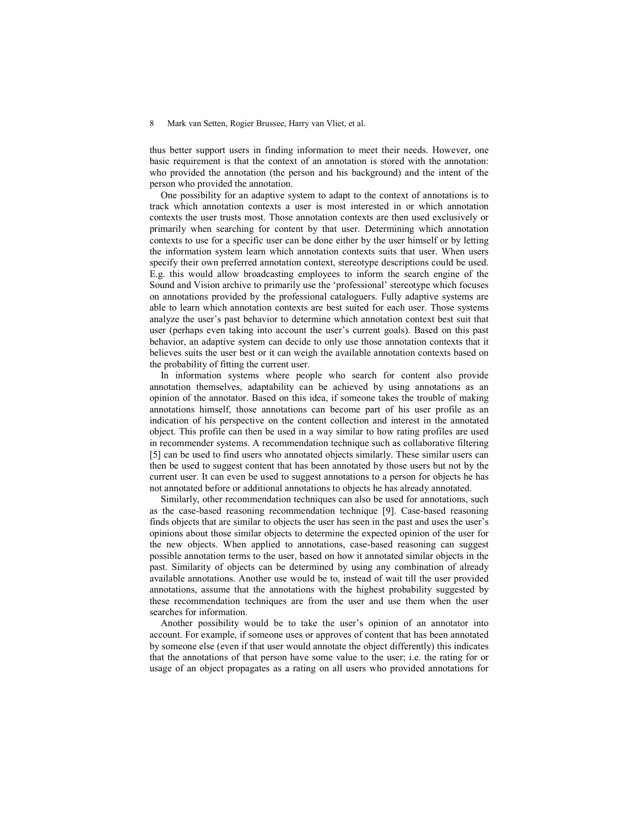thus better support users in finding information to meet their needs. However, one basic requirement is that the context of an annotation is stored with the annotation: who provided the annotation (the person and his background) and the intent of the person who provided the annotation.

One possibility for an adaptive system to adapt to the context of annotations is to track which annotation contexts a user is most interested in or which annotation contexts the user trusts most. Those annotation contexts are then used exclusively or primarily when searching for content by that user. Determining which annotation contexts to use for a specific user can be done either by the user himself or by letting the information system learn which annotation contexts suits that user. When users specify their own preferred annotation context, stereotype descriptions could be used. E.g. this would allow broadcasting employees to inform the search engine of the Sound and Vision archive to primarily use the 'professional' stereotype which focuses on annotations provided by the professional cataloguers. Fully adaptive systems are able to learn which annotation contexts are best suited for each user. Those systems analyze the user's past behavior to determine which annotation context best suit that user (perhaps even taking into account the user's current goals). Based on this past behavior, an adaptive system can decide to only use those annotation contexts that it believes suits the user best or it can weigh the available annotation contexts based on the probability of fitting the current user.

In information systems where people who search for content also provide annotation themselves, adaptability can be achieved by using annotations as an opinion of the annotator. Based on this idea, if someone takes the trouble of making annotations himself, those annotations can become part of his user profile as an indication of his perspective on the content collection and interest in the annotated object. This profile can then be used in a way similar to how rating profiles are used in recommender systems. A recommendation technique such as collaborative filtering [5] can be used to find users who annotated objects similarly. These similar users can then be used to suggest content that has been annotated by those users but not by the current user. It can even be used to suggest annotations to a person for objects he has not annotated before or additional annotations to objects he has already annotated.

Similarly, other recommendation techniques can also be used for annotations, such as the case-based reasoning recommendation technique [9]. Case-based reasoning finds objects that are similar to objects the user has seen in the past and uses the user's opinions about those similar objects to determine the expected opinion of the user for the new objects. When applied to annotations, case-based reasoning can suggest possible annotation terms to the user, based on how it annotated similar objects in the past. Similarity of objects can be determined by using any combination of already available annotations. Another use would be to, instead of wait till the user provided annotations, assume that the annotations with the highest probability suggested by these recommendation techniques are from the user and use them when the user searches for information.

Another possibility would be to take the user's opinion of an annotator into account. For example, if someone uses or approves of content that has been annotated by someone else (even if that user would annotate the object differently) this indicates that the annotations of that person have some value to the user; i.e. the rating for or usage of an object propagates as a rating on all users who provided annotations for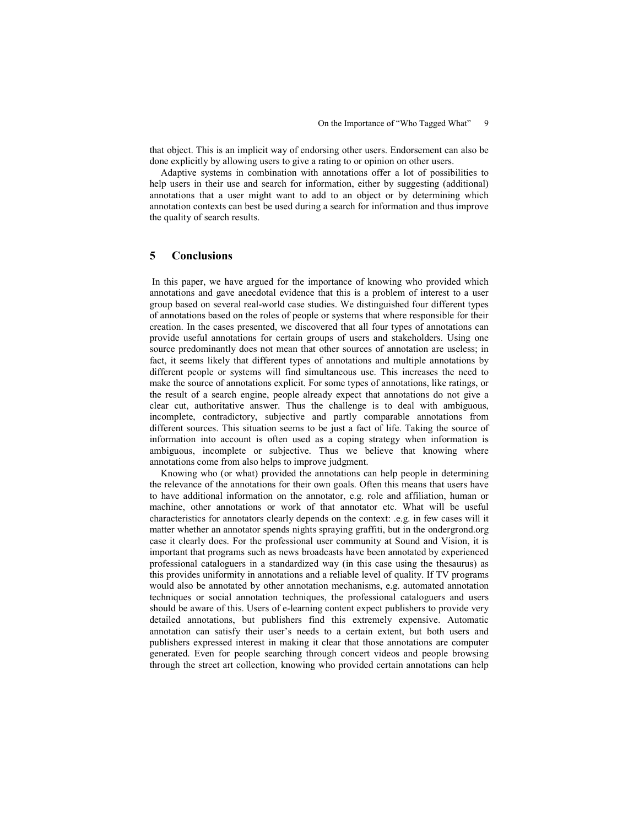that object. This is an implicit way of endorsing other users. Endorsement can also be done explicitly by allowing users to give a rating to or opinion on other users.

Adaptive systems in combination with annotations offer a lot of possibilities to help users in their use and search for information, either by suggesting (additional) annotations that a user might want to add to an object or by determining which annotation contexts can best be used during a search for information and thus improve the quality of search results.

## 5 Conclusions

 In this paper, we have argued for the importance of knowing who provided which annotations and gave anecdotal evidence that this is a problem of interest to a user group based on several real-world case studies. We distinguished four different types of annotations based on the roles of people or systems that where responsible for their creation. In the cases presented, we discovered that all four types of annotations can provide useful annotations for certain groups of users and stakeholders. Using one source predominantly does not mean that other sources of annotation are useless; in fact, it seems likely that different types of annotations and multiple annotations by different people or systems will find simultaneous use. This increases the need to make the source of annotations explicit. For some types of annotations, like ratings, or the result of a search engine, people already expect that annotations do not give a clear cut, authoritative answer. Thus the challenge is to deal with ambiguous, incomplete, contradictory, subjective and partly comparable annotations from different sources. This situation seems to be just a fact of life. Taking the source of information into account is often used as a coping strategy when information is ambiguous, incomplete or subjective. Thus we believe that knowing where annotations come from also helps to improve judgment.

Knowing who (or what) provided the annotations can help people in determining the relevance of the annotations for their own goals. Often this means that users have to have additional information on the annotator, e.g. role and affiliation, human or machine, other annotations or work of that annotator etc. What will be useful characteristics for annotators clearly depends on the context: .e.g. in few cases will it matter whether an annotator spends nights spraying graffiti, but in the ondergrond.org case it clearly does. For the professional user community at Sound and Vision, it is important that programs such as news broadcasts have been annotated by experienced professional cataloguers in a standardized way (in this case using the thesaurus) as this provides uniformity in annotations and a reliable level of quality. If TV programs would also be annotated by other annotation mechanisms, e.g. automated annotation techniques or social annotation techniques, the professional cataloguers and users should be aware of this. Users of e-learning content expect publishers to provide very detailed annotations, but publishers find this extremely expensive. Automatic annotation can satisfy their user's needs to a certain extent, but both users and publishers expressed interest in making it clear that those annotations are computer generated. Even for people searching through concert videos and people browsing through the street art collection, knowing who provided certain annotations can help